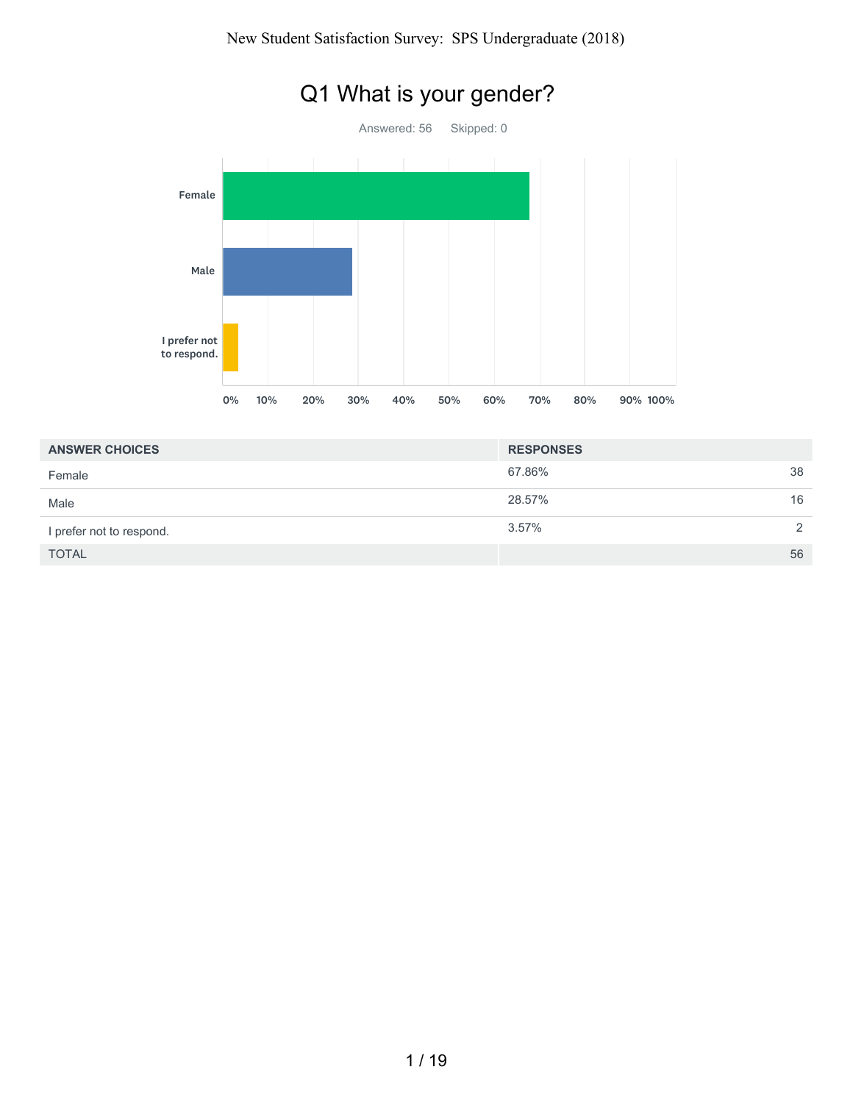

# Q1 What is your gender?

| <b>ANSWER CHOICES</b>    | <b>RESPONSES</b> |               |
|--------------------------|------------------|---------------|
| Female                   | 67.86%           | 38            |
| Male                     | 28.57%           | 16            |
| I prefer not to respond. | 3.57%            | $\mathcal{P}$ |
| <b>TOTAL</b>             |                  | 56            |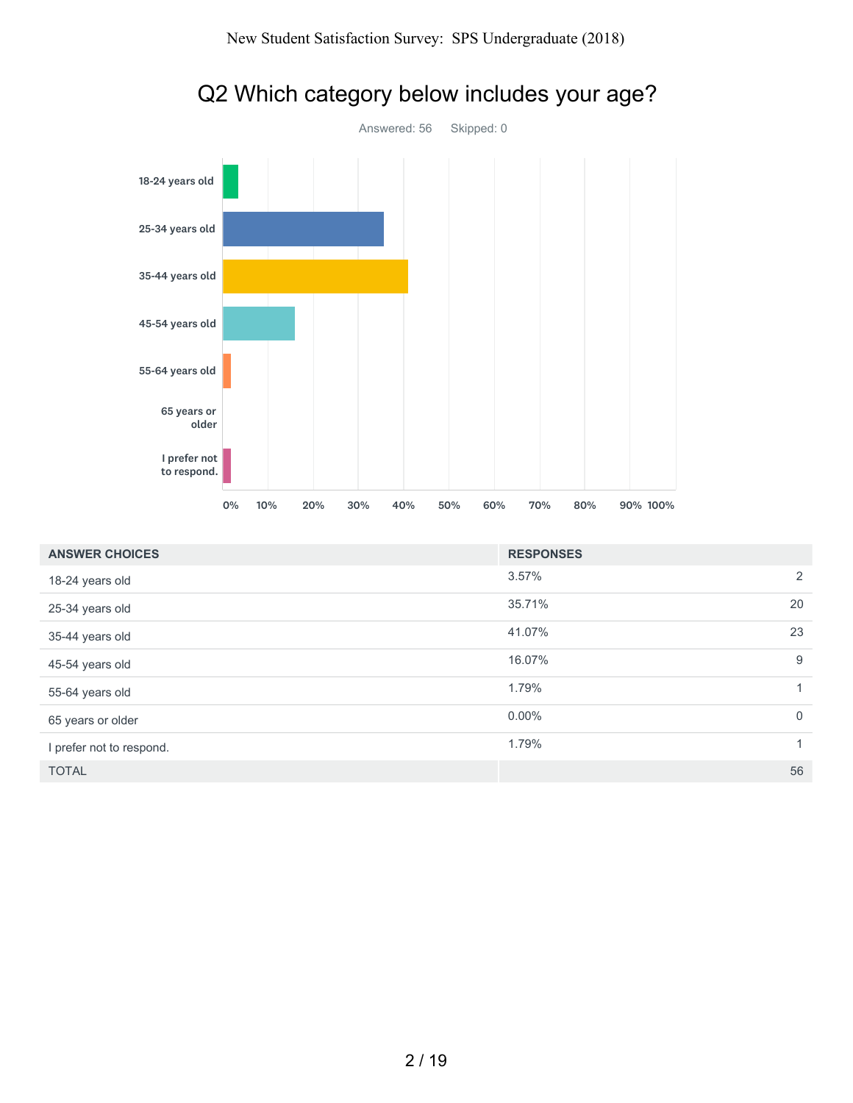

| 55-64 years old             |    |     |     |     |     |     |     |                  |     |          |                  |
|-----------------------------|----|-----|-----|-----|-----|-----|-----|------------------|-----|----------|------------------|
| 65 years or<br>older        |    |     |     |     |     |     |     |                  |     |          |                  |
| I prefer not<br>to respond. |    |     |     |     |     |     |     |                  |     |          |                  |
|                             | 0% | 10% | 20% | 30% | 40% | 50% | 60% | 70%              | 80% | 90% 100% |                  |
| <b>ANSWER CHOICES</b>       |    |     |     |     |     |     |     | <b>RESPONSES</b> |     |          |                  |
| 18-24 years old             |    |     |     |     |     |     |     | 3.57%            |     |          | $\sqrt{2}$       |
| 25-34 years old             |    |     |     |     |     |     |     | 35.71%           |     |          | 20               |
| 35-44 years old             |    |     |     |     |     |     |     | 41.07%           |     |          | 23               |
| 45-54 years old             |    |     |     |     |     |     |     | 16.07%           |     |          | $\boldsymbol{9}$ |
| 55-64 years old             |    |     |     |     |     |     |     | 1.79%            |     |          | $\mathbf{1}$     |
| 65 years or older           |    |     |     |     |     |     |     | $0.00\%$         |     |          | $\mathbf 0$      |
| I prefer not to respond.    |    |     |     |     |     |     |     | 1.79%            |     |          | $\mathbf{1}$     |

# Q2 Which category below includes your age?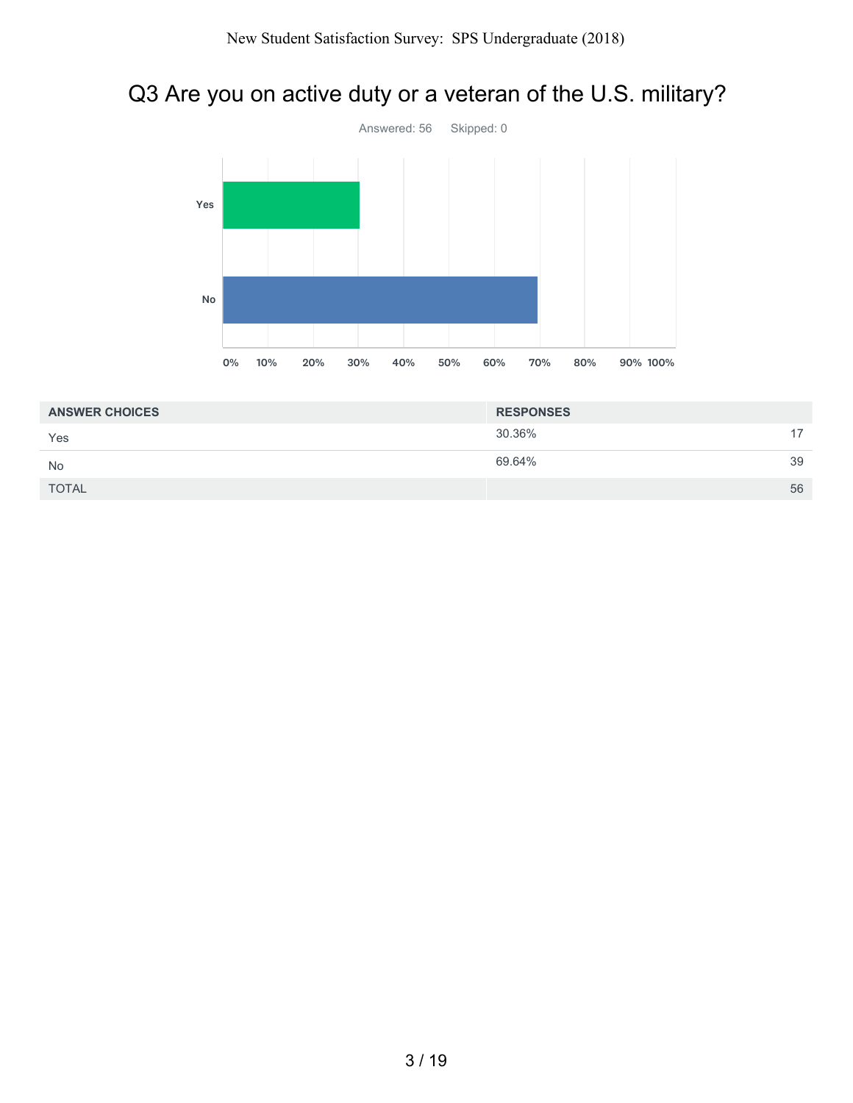## Q3 Are you on active duty or a veteran of the U.S. military?



| <b>ANSWER CHOICES</b> | <b>RESPONSES</b> |    |
|-----------------------|------------------|----|
| Yes                   | 30.36%           | 17 |
| <b>No</b>             | 69.64%           | 39 |
| <b>TOTAL</b>          |                  | 56 |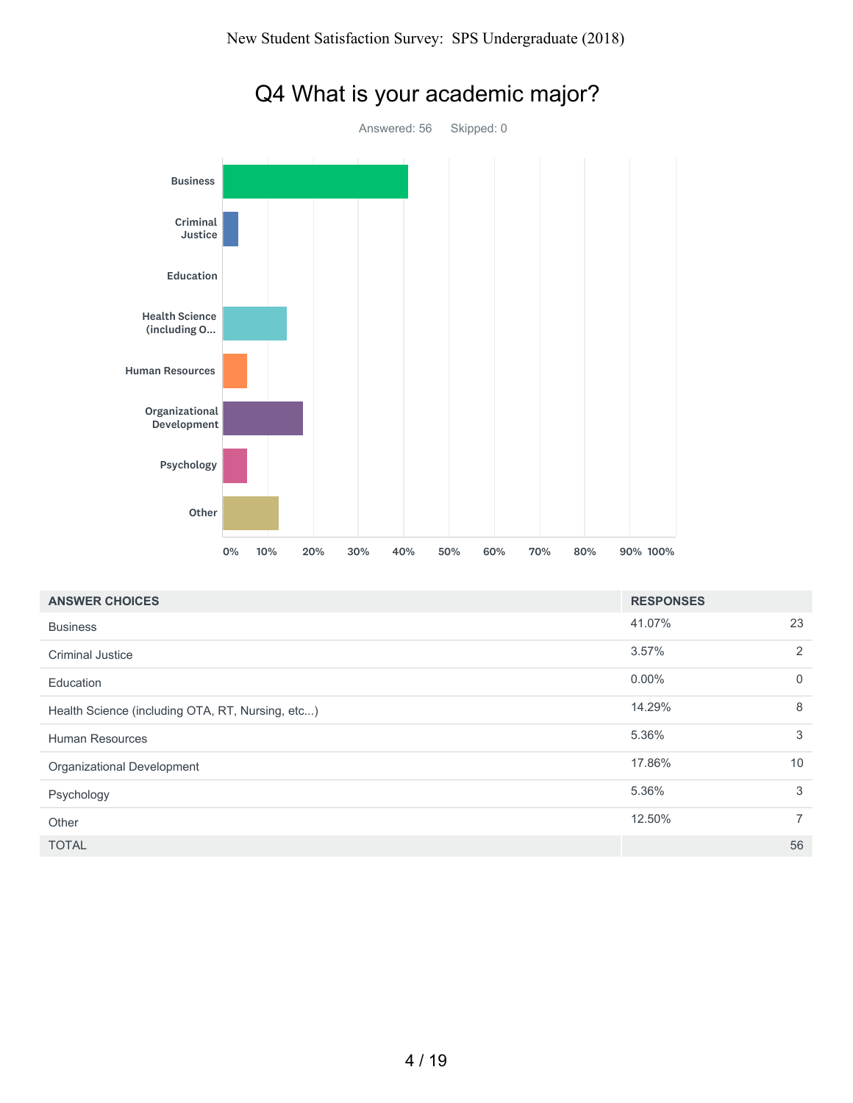

## Q4 What is your academic major?

| <b>ANSWER CHOICES</b>                            | <b>RESPONSES</b> |                |
|--------------------------------------------------|------------------|----------------|
| <b>Business</b>                                  | 41.07%           | 23             |
| <b>Criminal Justice</b>                          | 3.57%            | $\overline{2}$ |
| Education                                        | $0.00\%$         | $\mathbf 0$    |
| Health Science (including OTA, RT, Nursing, etc) | 14.29%           | 8              |
| <b>Human Resources</b>                           | 5.36%            | 3              |
| Organizational Development                       | 17.86%           | 10             |
| Psychology                                       | 5.36%            | 3              |
| Other                                            | 12.50%           | $\overline{7}$ |
| <b>TOTAL</b>                                     |                  | 56             |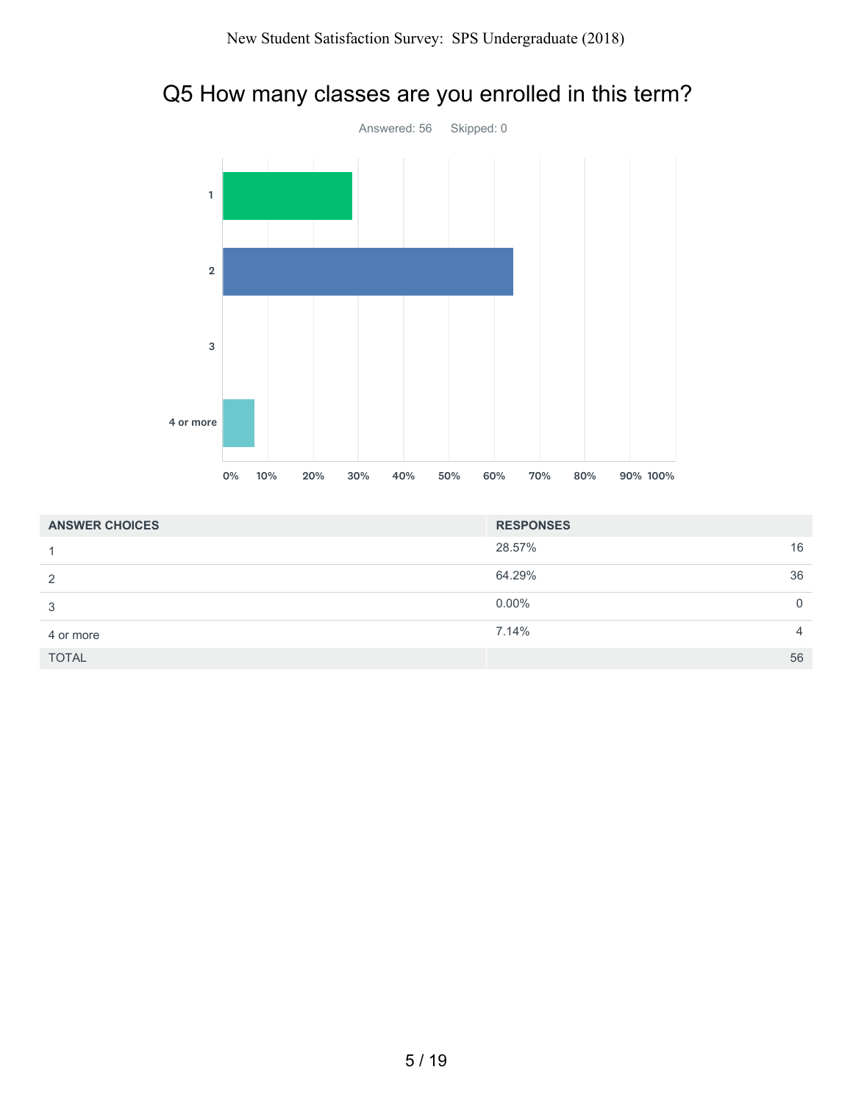## Q5 How many classes are you enrolled in this term?



| <b>ANSWER CHOICES</b> | <b>RESPONSES</b> |                |
|-----------------------|------------------|----------------|
|                       | 28.57%           | 16             |
| 2                     | 64.29%           | 36             |
| 3                     | $0.00\%$         | $\Omega$       |
| 4 or more             | 7.14%            | $\overline{4}$ |
| <b>TOTAL</b>          |                  | 56             |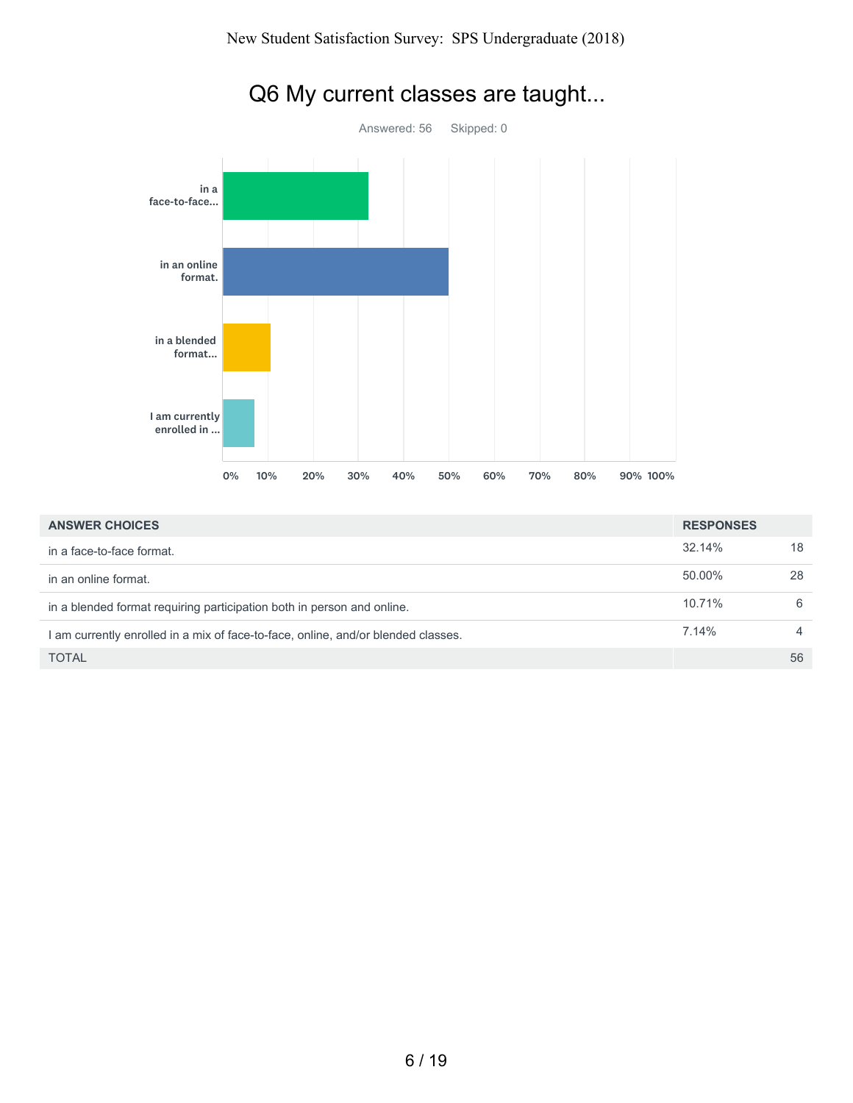

## Q6 My current classes are taught...

| <b>ANSWER CHOICES</b>                                                             | <b>RESPONSES</b> |                |
|-----------------------------------------------------------------------------------|------------------|----------------|
| in a face-to-face format.                                                         | 32.14%           | 18             |
| in an online format.                                                              | 50.00%           | 28             |
| in a blended format requiring participation both in person and online.            | 10.71%           | 6              |
| I am currently enrolled in a mix of face-to-face, online, and/or blended classes. | 7.14%            | $\overline{4}$ |
| <b>TOTAL</b>                                                                      |                  | 56             |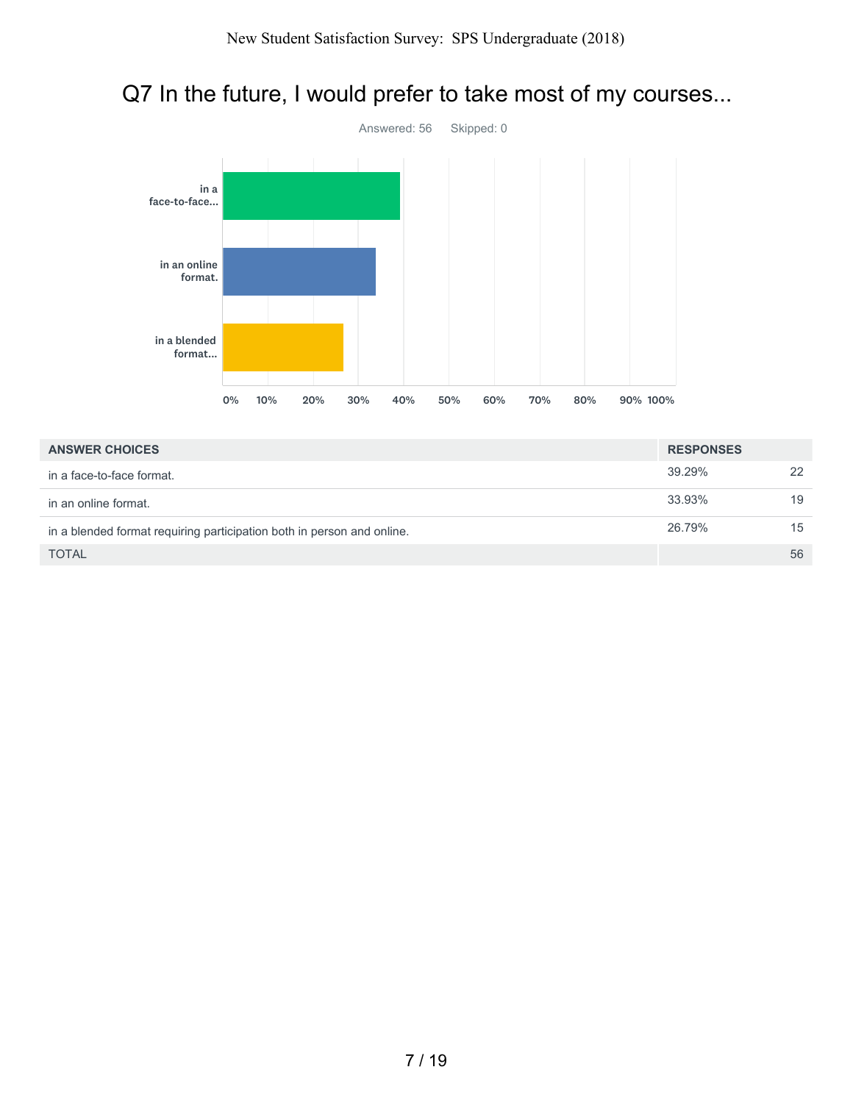## Q7 In the future, I would prefer to take most of my courses...



| <b>ANSWER CHOICES</b>                                                  | <b>RESPONSES</b> |    |
|------------------------------------------------------------------------|------------------|----|
| in a face-to-face format.                                              | 39.29%           | 22 |
| in an online format.                                                   | 33.93%           | 19 |
| in a blended format requiring participation both in person and online. | 26.79%           | 15 |
| <b>TOTAL</b>                                                           |                  | 56 |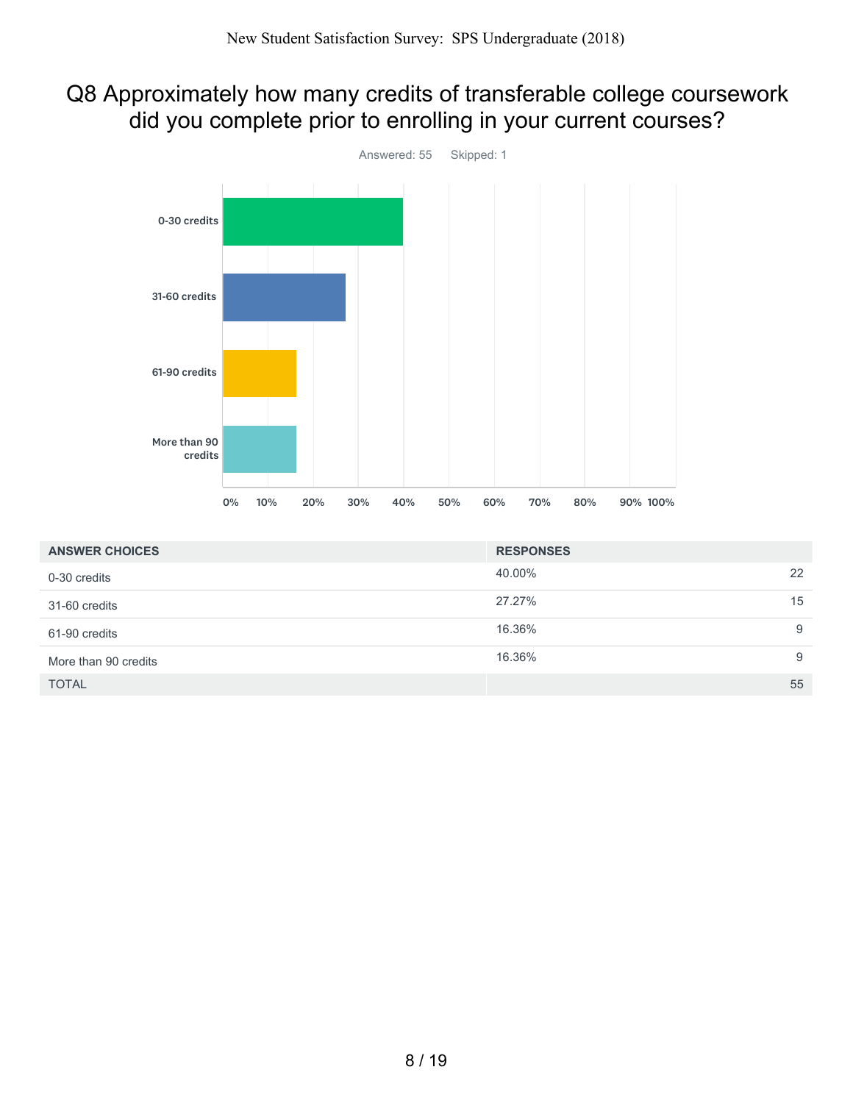### Q8 Approximately how many credits of transferable college coursework did you complete prior to enrolling in your current courses?



| <b>ANSWER CHOICES</b> | <b>RESPONSES</b> |    |
|-----------------------|------------------|----|
| 0-30 credits          | 40.00%           | 22 |
| 31-60 credits         | 27.27%           | 15 |
| 61-90 credits         | 16.36%           | 9  |
| More than 90 credits  | 16.36%           | 9  |
| <b>TOTAL</b>          |                  | 55 |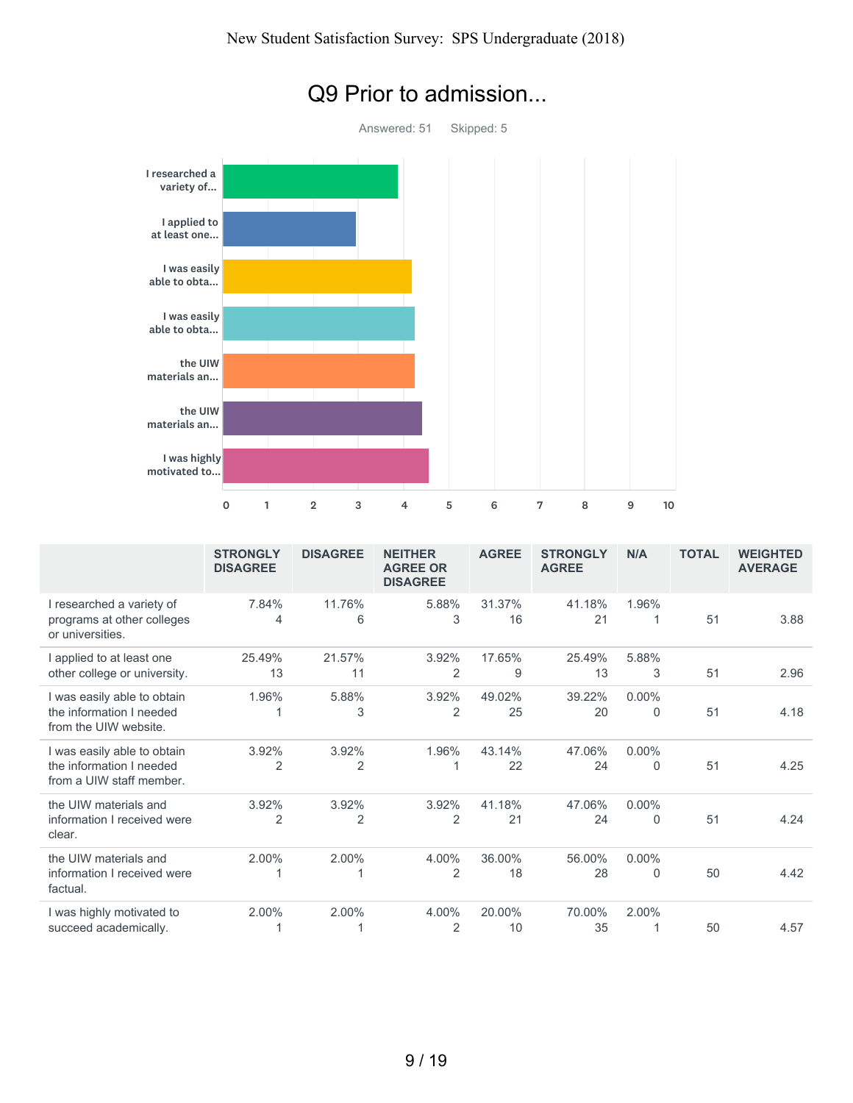

### Q9 Prior to admission...

|                                                                                     | <b>STRONGLY</b><br><b>DISAGREE</b> | <b>DISAGREE</b> | <b>NEITHER</b><br><b>AGREE OR</b><br><b>DISAGREE</b> | <b>AGREE</b> | <b>STRONGLY</b><br><b>AGREE</b> | N/A                     | <b>TOTAL</b> | <b>WEIGHTED</b><br><b>AVERAGE</b> |
|-------------------------------------------------------------------------------------|------------------------------------|-----------------|------------------------------------------------------|--------------|---------------------------------|-------------------------|--------------|-----------------------------------|
| I researched a variety of<br>programs at other colleges<br>or universities.         | 7.84%<br>4                         | 11.76%<br>6     | 5.88%<br>3                                           | 31.37%<br>16 | 41.18%<br>21                    | 1.96%<br>1              | 51           | 3.88                              |
| I applied to at least one<br>other college or university.                           | 25.49%<br>13                       | 21.57%<br>11    | 3.92%<br>2                                           | 17.65%<br>9  | 25.49%<br>13                    | 5.88%<br>3              | 51           | 2.96                              |
| I was easily able to obtain<br>the information I needed<br>from the UIW website.    | 1.96%                              | 5.88%<br>3      | 3.92%<br>2                                           | 49.02%<br>25 | 39.22%<br>20                    | $0.00\%$<br>0           | 51           | 4.18                              |
| I was easily able to obtain<br>the information I needed<br>from a UIW staff member. | 3.92%<br>2                         | 3.92%<br>2      | 1.96%                                                | 43.14%<br>22 | 47.06%<br>24                    | $0.00\%$<br>$\mathbf 0$ | 51           | 4.25                              |
| the UIW materials and<br>information I received were<br>clear.                      | 3.92%<br>2                         | 3.92%<br>2      | 3.92%<br>2                                           | 41.18%<br>21 | 47.06%<br>24                    | $0.00\%$<br>$\Omega$    | 51           | 4.24                              |
| the UIW materials and<br>information I received were<br>factual.                    | 2.00%                              | 2.00%           | 4.00%<br>$\overline{2}$                              | 36.00%<br>18 | 56.00%<br>28                    | $0.00\%$<br>$\Omega$    | 50           | 4.42                              |
| I was highly motivated to<br>succeed academically.                                  | 2.00%                              | 2.00%           | 4.00%<br>2                                           | 20.00%<br>10 | 70.00%<br>35                    | 2.00%                   | 50           | 4.57                              |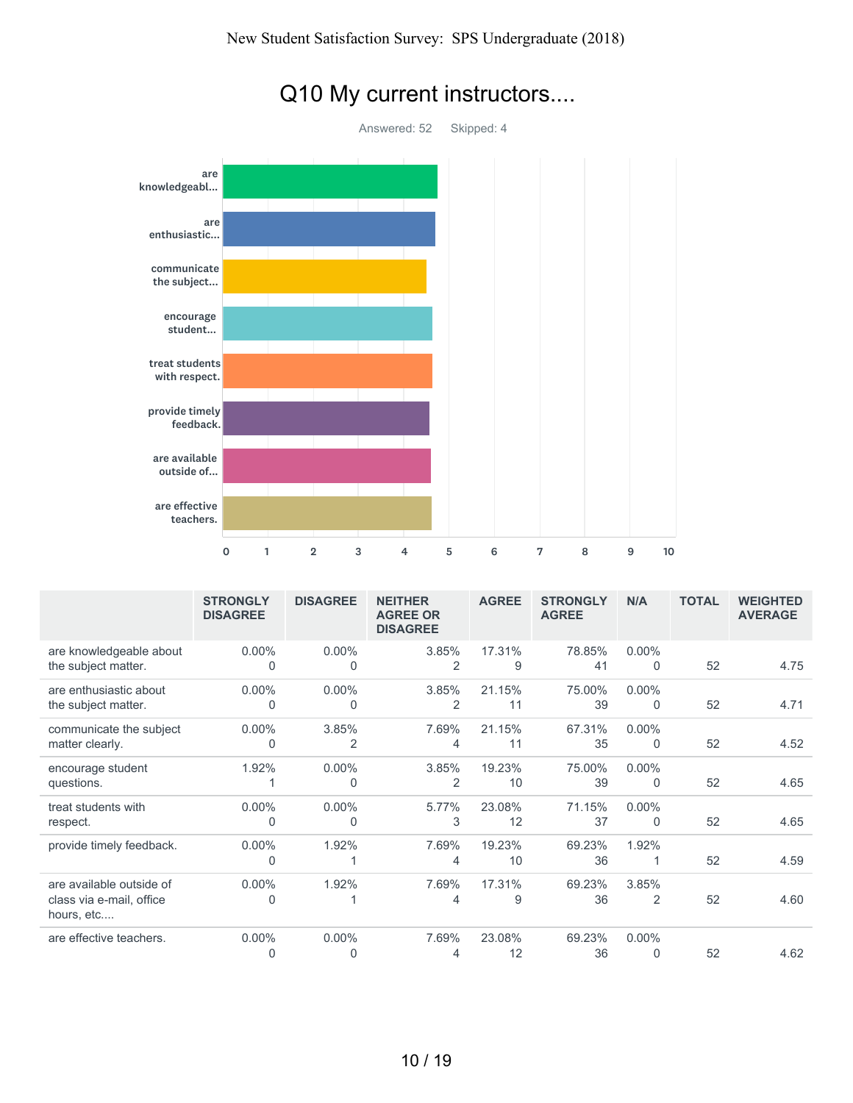

|  |  | Q10 My current instructors |
|--|--|----------------------------|
|--|--|----------------------------|

|                                                                    | <b>STRONGLY</b><br><b>DISAGREE</b> | <b>DISAGREE</b>   | <b>NEITHER</b><br><b>AGREE OR</b><br><b>DISAGREE</b> | <b>AGREE</b> | <b>STRONGLY</b><br><b>AGREE</b> | N/A                  | <b>TOTAL</b> | <b>WEIGHTED</b><br><b>AVERAGE</b> |
|--------------------------------------------------------------------|------------------------------------|-------------------|------------------------------------------------------|--------------|---------------------------------|----------------------|--------------|-----------------------------------|
| are knowledgeable about<br>the subject matter.                     | $0.00\%$<br>0                      | $0.00\%$<br>0     | 3.85%<br>$\overline{2}$                              | 17.31%<br>9  | 78.85%<br>41                    | $0.00\%$<br>$\Omega$ | 52           | 4.75                              |
| are enthusiastic about<br>the subject matter.                      | $0.00\%$<br>0                      | 0.00%<br>$\Omega$ | 3.85%<br>2                                           | 21.15%<br>11 | 75.00%<br>39                    | $0.00\%$<br>$\Omega$ | 52           | 4.71                              |
| communicate the subject<br>matter clearly.                         | $0.00\%$<br>0                      | 3.85%<br>2        | 7.69%<br>4                                           | 21.15%<br>11 | 67.31%<br>35                    | $0.00\%$<br>$\Omega$ | 52           | 4.52                              |
| encourage student<br>questions.                                    | 1.92%                              | $0.00\%$<br>0     | 3.85%<br>2                                           | 19.23%<br>10 | 75.00%<br>39                    | $0.00\%$<br>$\Omega$ | 52           | 4.65                              |
| treat students with<br>respect.                                    | $0.00\%$<br>0                      | $0.00\%$<br>0     | 5.77%<br>3                                           | 23.08%<br>12 | 71.15%<br>37                    | $0.00\%$<br>$\Omega$ | 52           | 4.65                              |
| provide timely feedback.                                           | $0.00\%$<br>0                      | 1.92%             | 7.69%<br>4                                           | 19.23%<br>10 | 69.23%<br>36                    | 1.92%                | 52           | 4.59                              |
| are available outside of<br>class via e-mail, office<br>hours, etc | $0.00\%$<br>0                      | 1.92%             | 7.69%<br>4                                           | 17.31%<br>9  | 69.23%<br>36                    | 3.85%<br>2           | 52           | 4.60                              |
| are effective teachers.                                            | $0.00\%$<br>0                      | $0.00\%$<br>0     | 7.69%<br>4                                           | 23.08%<br>12 | 69.23%<br>36                    | $0.00\%$<br>$\Omega$ | 52           | 4.62                              |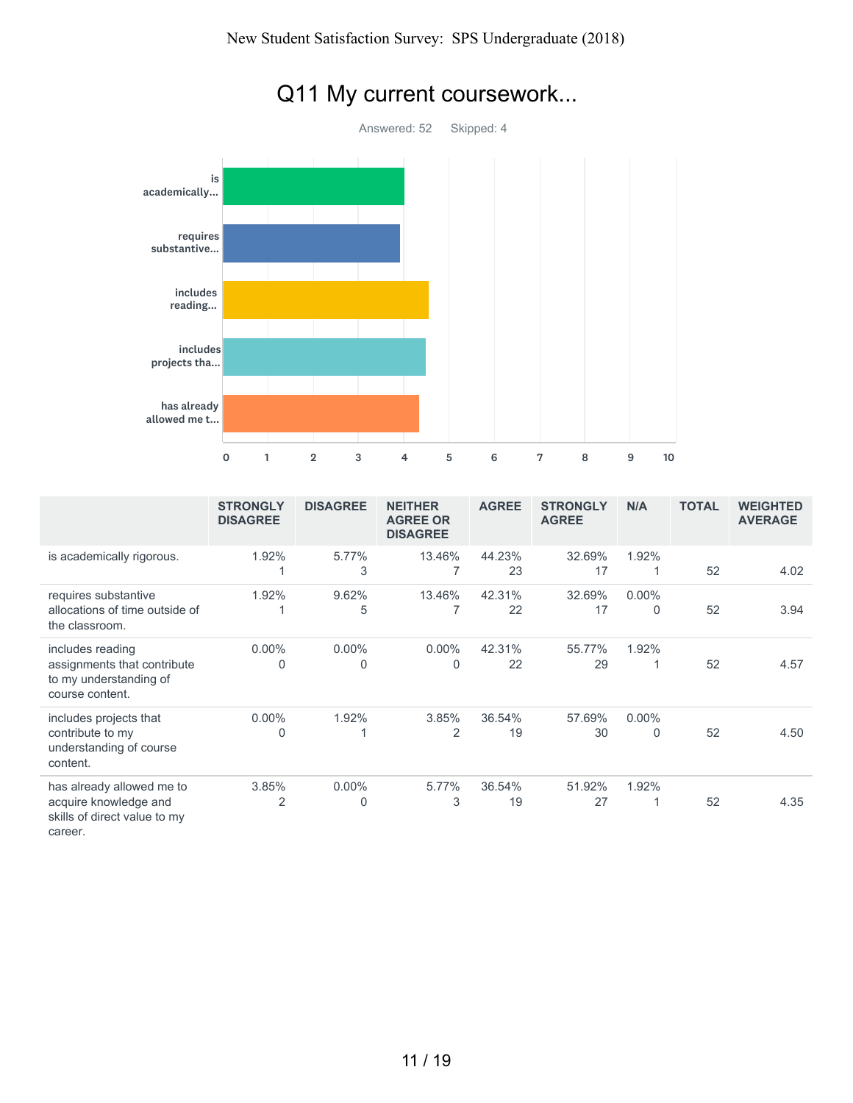

# Q11 My current coursework...

|                                                                                               | <b>STRONGLY</b><br><b>DISAGREE</b> | <b>DISAGREE</b>         | <b>NEITHER</b><br><b>AGREE OR</b><br><b>DISAGREE</b> | <b>AGREE</b> | <b>STRONGLY</b><br><b>AGREE</b> | N/A                     | <b>TOTAL</b> | <b>WEIGHTED</b><br><b>AVERAGE</b> |
|-----------------------------------------------------------------------------------------------|------------------------------------|-------------------------|------------------------------------------------------|--------------|---------------------------------|-------------------------|--------------|-----------------------------------|
| is academically rigorous.                                                                     | 1.92%                              | 5.77%<br>3              | 13.46%<br>7                                          | 44.23%<br>23 | 32.69%<br>17                    | 1.92%                   | 52           | 4.02                              |
| requires substantive<br>allocations of time outside of<br>the classroom.                      | 1.92%                              | 9.62%<br>5              | 13.46%<br>7                                          | 42.31%<br>22 | 32.69%<br>17                    | $0.00\%$<br>$\mathbf 0$ | 52           | 3.94                              |
| includes reading<br>assignments that contribute<br>to my understanding of<br>course content.  | $0.00\%$<br>$\mathbf{0}$           | $0.00\%$<br>$\Omega$    | $0.00\%$<br>$\overline{0}$                           | 42.31%<br>22 | 55.77%<br>29                    | 1.92%<br>1              | 52           | 4.57                              |
| includes projects that<br>contribute to my<br>understanding of course<br>content.             | $0.00\%$<br>$\Omega$               | 1.92%                   | 3.85%<br>$\overline{2}$                              | 36.54%<br>19 | 57.69%<br>30                    | $0.00\%$<br>$\mathbf 0$ | 52           | 4.50                              |
| has already allowed me to<br>acquire knowledge and<br>skills of direct value to my<br>career. | 3.85%<br>2                         | $0.00\%$<br>$\mathbf 0$ | 5.77%<br>3                                           | 36.54%<br>19 | 51.92%<br>27                    | 1.92%                   | 52           | 4.35                              |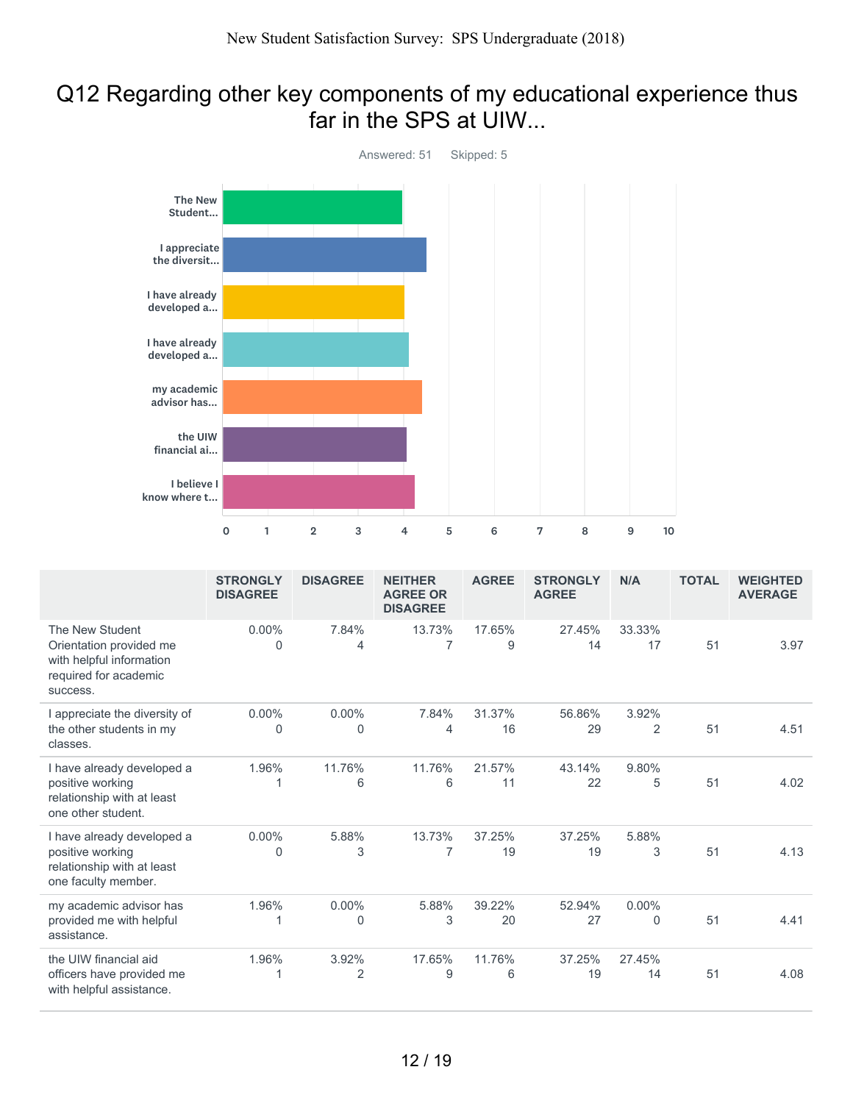### Q12 Regarding other key components of my educational experience thus far in the SPS at UIW...



|                                                                                                             | <b>STRONGLY</b><br><b>DISAGREE</b> | <b>DISAGREE</b> | <b>NEITHER</b><br><b>AGREE OR</b><br><b>DISAGREE</b> | <b>AGREE</b> | <b>STRONGLY</b><br><b>AGREE</b> | N/A           | <b>TOTAL</b> | <b>WEIGHTED</b><br><b>AVERAGE</b> |
|-------------------------------------------------------------------------------------------------------------|------------------------------------|-----------------|------------------------------------------------------|--------------|---------------------------------|---------------|--------------|-----------------------------------|
| The New Student<br>Orientation provided me<br>with helpful information<br>required for academic<br>success. | $0.00\%$<br>$\overline{0}$         | 7.84%<br>4      | 13.73%<br>$\overline{7}$                             | 17.65%<br>9  | 27.45%<br>14                    | 33.33%<br>17  | 51           | 3.97                              |
| I appreciate the diversity of<br>the other students in my<br>classes.                                       | $0.00\%$<br>0                      | $0.00\%$<br>0   | 7.84%<br>4                                           | 31.37%<br>16 | 56.86%<br>29                    | 3.92%<br>2    | 51           | 4.51                              |
| I have already developed a<br>positive working<br>relationship with at least<br>one other student.          | 1.96%                              | 11.76%<br>6     | 11.76%<br>6                                          | 21.57%<br>11 | 43.14%<br>22                    | 9.80%<br>5    | 51           | 4.02                              |
| I have already developed a<br>positive working<br>relationship with at least<br>one faculty member.         | $0.00\%$<br>0                      | 5.88%<br>3      | 13.73%<br>7                                          | 37.25%<br>19 | 37.25%<br>19                    | 5.88%<br>3    | 51           | 4.13                              |
| my academic advisor has<br>provided me with helpful<br>assistance.                                          | 1.96%                              | $0.00\%$<br>0   | 5.88%<br>3                                           | 39.22%<br>20 | 52.94%<br>27                    | $0.00\%$<br>0 | 51           | 4.41                              |
| the UIW financial aid<br>officers have provided me<br>with helpful assistance.                              | 1.96%                              | 3.92%<br>2      | 17.65%<br>9                                          | 11.76%<br>6  | 37.25%<br>19                    | 27.45%<br>14  | 51           | 4.08                              |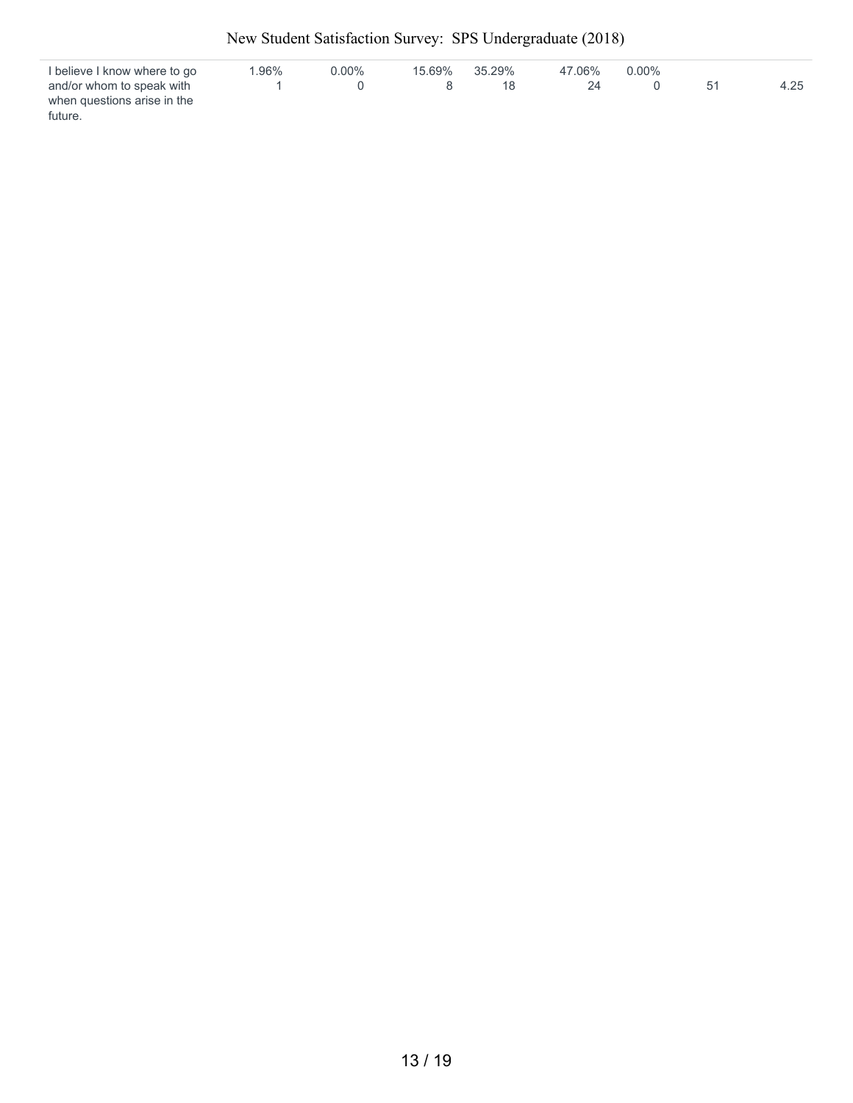| I believe I know where to go | $1.96\%$ | $0.00\%$ | 15.69% | 35.29% | 47.06% | $0.00\%$ |      |
|------------------------------|----------|----------|--------|--------|--------|----------|------|
| and/or whom to speak with    |          |          |        | 18     |        |          | 4.25 |
| when questions arise in the  |          |          |        |        |        |          |      |
| future.                      |          |          |        |        |        |          |      |

New Student Satisfaction Survey: SPS Undergraduate (2018)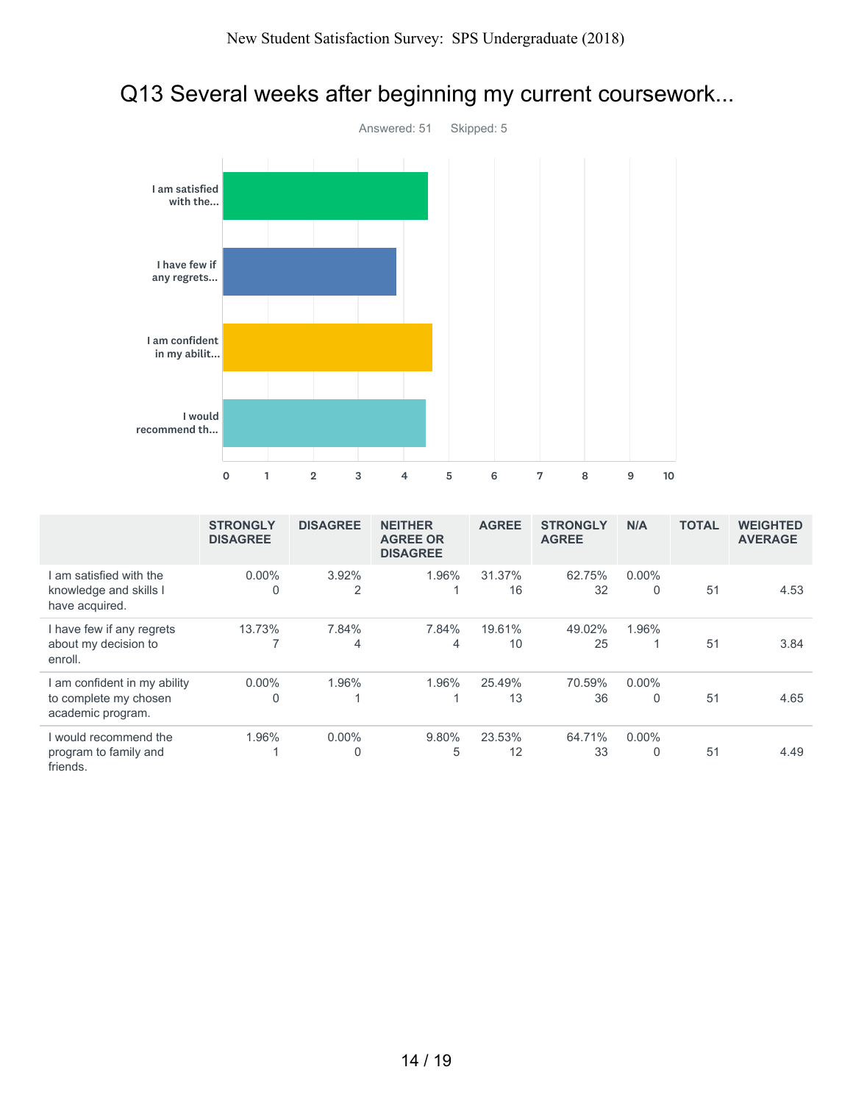## Q13 Several weeks after beginning my current coursework...



|                                                                          | <b>STRONGLY</b><br><b>DISAGREE</b> | <b>DISAGREE</b> | <b>NEITHER</b><br><b>AGREE OR</b><br><b>DISAGREE</b> | <b>AGREE</b> | <b>STRONGLY</b><br><b>AGREE</b> | N/A                      | <b>TOTAL</b> | <b>WEIGHTED</b><br><b>AVERAGE</b> |
|--------------------------------------------------------------------------|------------------------------------|-----------------|------------------------------------------------------|--------------|---------------------------------|--------------------------|--------------|-----------------------------------|
| am satisfied with the<br>knowledge and skills I<br>have acquired.        | $0.00\%$<br>0                      | 3.92%<br>2      | 1.96%                                                | 31.37%<br>16 | 62.75%<br>32                    | $0.00\%$<br>$\mathbf{0}$ | 51           | 4.53                              |
| I have few if any regrets<br>about my decision to<br>enroll.             | 13.73%                             | 7.84%<br>4      | 7.84%<br>4                                           | 19.61%<br>10 | 49.02%<br>25                    | 1.96%                    | 51           | 3.84                              |
| am confident in my ability<br>to complete my chosen<br>academic program. | $0.00\%$<br>0                      | 1.96%           | 1.96%                                                | 25.49%<br>13 | 70.59%<br>36                    | $0.00\%$<br>$\Omega$     | 51           | 4.65                              |
| I would recommend the<br>program to family and<br>friends.               | 1.96%                              | $0.00\%$        | 9.80%<br>5                                           | 23.53%<br>12 | 64.71%<br>33                    | $0.00\%$<br>0            | 51           | 4.49                              |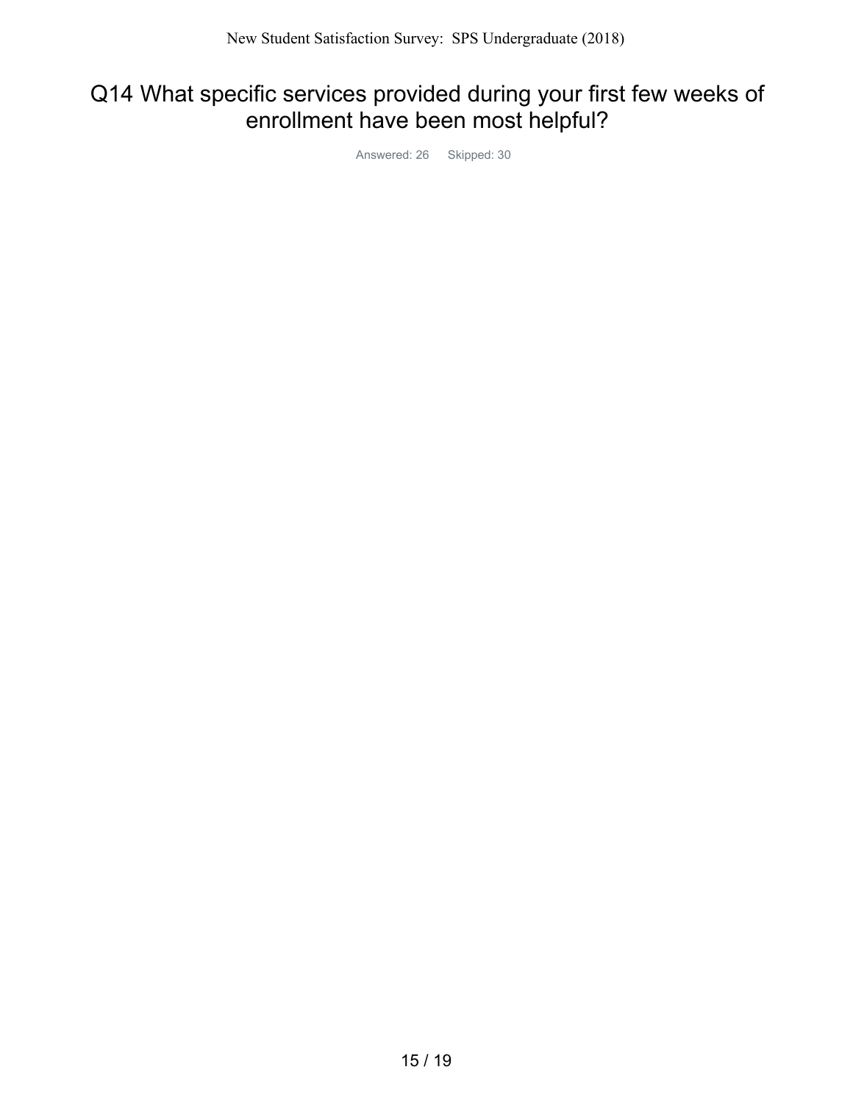### Q14 What specific services provided during your first few weeks of enrollment have been most helpful?

Answered: 26 Skipped: 30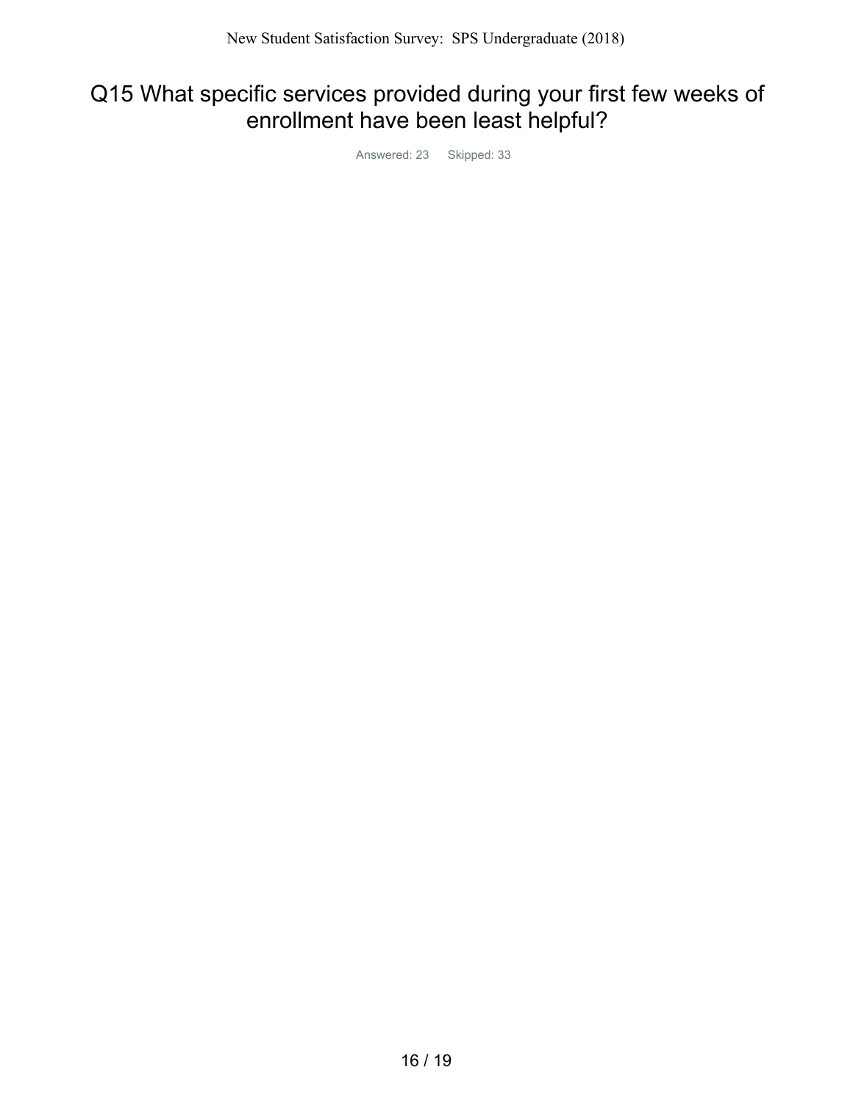### Q15 What specific services provided during your first few weeks of enrollment have been least helpful?

Answered: 23 Skipped: 33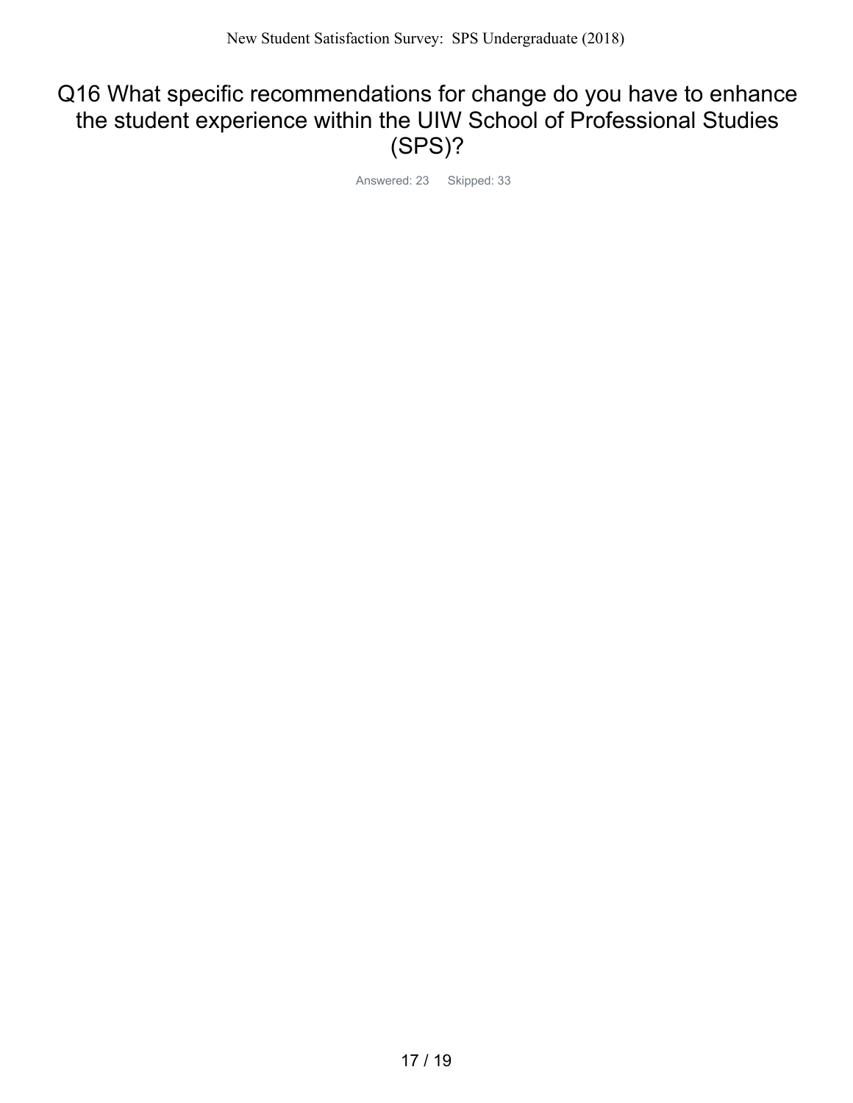### Q16 What specific recommendations for change do you have to enhance the student experience within the UIW School of Professional Studies (SPS)?

Answered: 23 Skipped: 33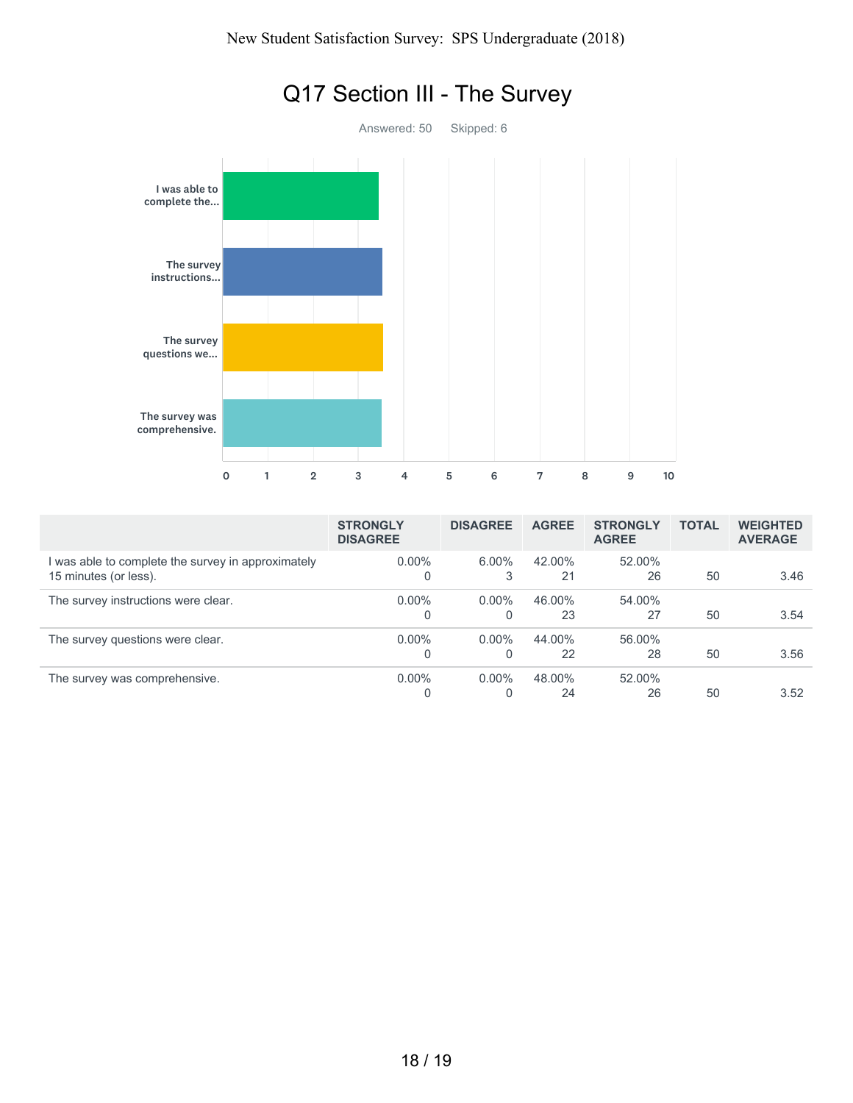

|                                                                           | <b>STRONGLY</b><br><b>DISAGREE</b> | <b>DISAGREE</b>      | <b>AGREE</b> | <b>STRONGLY</b><br><b>AGREE</b> | <b>TOTAL</b> | <b>WEIGHTED</b><br><b>AVERAGE</b> |
|---------------------------------------------------------------------------|------------------------------------|----------------------|--------------|---------------------------------|--------------|-----------------------------------|
| was able to complete the survey in approximately<br>15 minutes (or less). | $0.00\%$                           | $6.00\%$<br>3        | 42.00%<br>21 | 52.00%<br>26                    | 50           | 3.46                              |
| The survey instructions were clear.                                       | $0.00\%$                           | $0.00\%$<br>$\Omega$ | 46.00%<br>23 | 54.00%<br>27                    | 50           | 3.54                              |
| The survey questions were clear.                                          | $0.00\%$                           | $0.00\%$<br>$\Omega$ | 44.00%<br>22 | 56.00%<br>28                    | 50           | 3.56                              |
| The survey was comprehensive.                                             | $0.00\%$                           | $0.00\%$<br>0        | 48.00%<br>24 | 52.00%<br>26                    | 50           | 3.52                              |

# Q17 Section III - The Survey